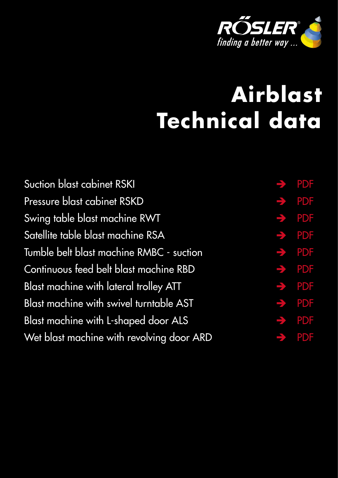

# <span id="page-0-0"></span>**Airblast Technical data**

| Suction blast cabinet RSKI                | $\rightarrow$ PDF |
|-------------------------------------------|-------------------|
| Pressure blast cabinet RSKD               | $\rightarrow$ PDF |
| Swing table blast machine RWT             | $\rightarrow$ PDF |
| Satellite table blast machine RSA         | $\rightarrow$ PDF |
| Tumble belt blast machine RMBC - suction  | $\rightarrow$ PDF |
| Continuous feed belt blast machine RBD    | $\rightarrow$ PDF |
| Blast machine with lateral trolley ATT    | $\rightarrow$ PDF |
| Blast machine with swivel turntable AST   | $\rightarrow$ PDF |
| Blast machine with L-shaped door ALS      | $\rightarrow$ PDF |
| Wet blast machine with revolving door ARD | $\rightarrow$ PDF |
|                                           |                   |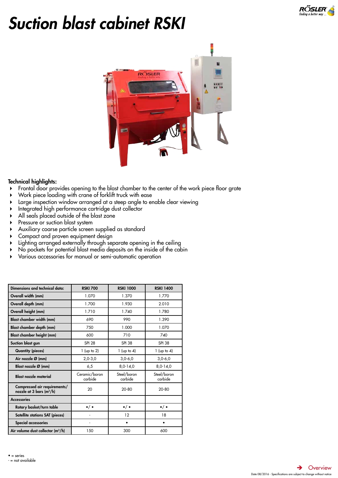

# <span id="page-1-0"></span>*Suction blast cabinet RSKI*



- Frontal door provides opening to the blast chamber to the center of the work piece floor grate
- Work piece loading with crane of forklift truck with ease
- Large inspection window arranged at a steep angle to enable clear viewing
- Integrated high performance cartridge dust collector
- All seals placed outside of the blast zone
- Pressure or suction blast system
- Auxiliary coarse particle screen supplied as standard
- Compact and proven equipment design
- Lighting arranged externally through separate opening in the ceiling
- No pockets for potential blast media deposits on the inside of the cabin
- Various accessories for manual or semi-automatic operation

| Dimensions and technical data:                             | <b>RSKI 700</b>          | <b>RSKI 1000</b>       | <b>RSKI 1400</b>       |
|------------------------------------------------------------|--------------------------|------------------------|------------------------|
| Overall width (mm)                                         | 1.070                    | 1.370                  | 1.770                  |
| Overall depth (mm)                                         | 1.700                    | 1.930                  | 2.010                  |
| Overall height (mm)                                        | 1.710                    | 1.740                  | 1.780                  |
| Blast chamber width (mm)                                   | 690                      | 990                    | 1.390                  |
| Blast chamber depth (mm)                                   | 750                      | 1.000                  | 1.070                  |
| <b>Blast chamber height (mm)</b>                           | 600                      | 710                    | 740                    |
| Suction blast gun                                          | <b>SPI 28</b>            | <b>SPI 38</b>          | <b>SPI 38</b>          |
| <b>Quantity (pieces)</b>                                   | $1$ (up to 2)            | $1$ (up to 4)          | $1$ (up to 4)          |
| Air nozzle Ø (mm)                                          | $2,0-3,0$                | $3,0 - 6,0$            | $3,0 - 6,0$            |
| Blast nozzle Ø (mm)                                        | 6,5                      | $8,0-14,0$             | $8,0-14,0$             |
| <b>Blast nozzle material</b>                               | Ceramic/boron<br>carbide | Steel/boron<br>carbide | Steel/boron<br>carbide |
| Compressed air requirements/<br>nozzle at 3 bars $(m^3/h)$ | 20                       | $20 - 80$              | $20 - 80$              |
| <b>Accessories</b>                                         |                          |                        |                        |
| Rotary basket/turn table                                   | $\bullet/\bullet$        | $\bullet/ \bullet$     | $\bullet/ \bullet$     |
| Satellite stations SAT (pieces)                            |                          | 12                     | 18                     |
| Special accessories                                        |                          | ٠                      | ٠                      |
| Air volume dust collector $(m^3/h)$                        | 150                      | 300                    | 600                    |

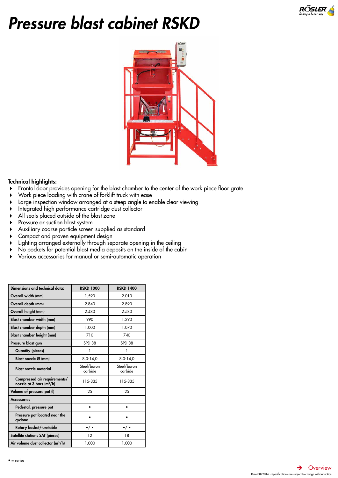

# <span id="page-2-0"></span>*Pressure blast cabinet RSKD*



- Frontal door provides opening for the blast chamber to the center of the work piece floor grate
- Work piece loading with crane of forklift truck with ease
- Large inspection window arranged at a steep angle to enable clear viewing
- Integrated high performance cartridge dust collector
- All seals placed outside of the blast zone
- Pressure or suction blast system
- Auxiliary coarse particle screen supplied as standard
- Compact and proven equipment design
- Lighting arranged externally through separate opening in the ceiling
- No pockets for potential blast media deposits on the inside of the cabin
- Various accessories for manual or semi-automatic operation

| Dimensions and technical data:                             | <b>RSKD 1000</b>       | <b>RSKD 1400</b>       |
|------------------------------------------------------------|------------------------|------------------------|
| Overall width (mm)                                         | 1.590                  | 2.010                  |
| Overall depth (mm)                                         | 2.840                  | 2.890                  |
| Overall height (mm)                                        | 2.480                  | 2.580                  |
| <b>Blast chamber width (mm)</b>                            | 990                    | 1.390                  |
| Blast chamber depth (mm)                                   | 1.000                  | 1.070                  |
| Blast chamber height (mm)                                  | 710                    | 740                    |
| Pressure blast gun                                         | <b>SPD 38</b>          | <b>SPD 38</b>          |
| <b>Quantity (pieces)</b>                                   | 1                      | 1                      |
| Blast nozzle $\varnothing$ (mm)                            | $8,0-14,0$             | $8,0-14,0$             |
| <b>Blast nozzle material</b>                               | Steel/boron<br>carbide | Steel/boron<br>carbide |
| Compressed air requirements/<br>nozzle at 3 bars $(m^3/h)$ | 115-335                | 115-335                |
| Volume of pressure pot (I)                                 | 25                     | 25                     |
| <b>Accessories</b>                                         |                        |                        |
| Pedestal, pressure pot                                     | ٠                      | ٠                      |
| Pressure pot located near the<br>cyclone                   |                        |                        |
| Rotary basket/turntable                                    | $\bullet/\bullet$      | $\bullet/ \bullet$     |
| Satellite stations SAT (pieces)                            | 12                     | 18                     |
| Air volume dust collector $(m^3/h)$                        | 1.000                  | 1.000                  |

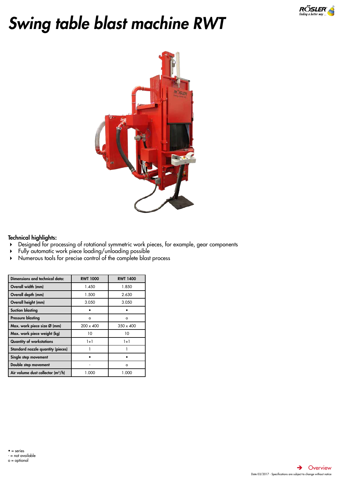

# <span id="page-3-0"></span>*Swing table blast machine RWT*



- Designed for processing of rotational symmetric work pieces, for example, gear components
- Fully automatic work piece loading/unloading possible
- Numerous tools for precise control of the complete blast process

| Dimensions and technical data:      | <b>RWT 1000</b>  | <b>RWT 1400</b>  |
|-------------------------------------|------------------|------------------|
| Overall width (mm)                  | 1.450            | 1.850            |
| Overall depth (mm)                  | 1.500            | 2.630            |
| Overall height (mm)                 | 3.050            | 3.050            |
| <b>Suction blasting</b>             |                  |                  |
| <b>Pressure blasting</b>            | $\circ$          | $\circ$          |
| Max. work piece size Ø (mm)         | $200 \times 400$ | $350 \times 400$ |
| Max. work piece weight (kg)         | 10               | 10               |
| <b>Quantity of workstations</b>     | $1 + 1$          | $1+1$            |
| Standard nozzle quantity (pieces)   |                  |                  |
| Single step movement                |                  |                  |
| Double step movement                |                  | $\circ$          |
| Air volume dust collector $(m^3/h)$ | 1.000            | 1.000            |

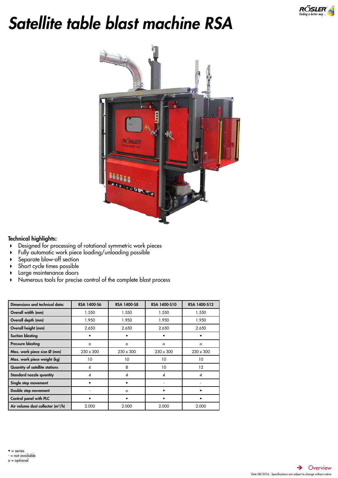

# <span id="page-4-0"></span>*Satellite table blast machine RSA*



- Designed for processing of rotational symmetric work pieces
- Fully automatic work piece loading/unloading possible
- Separate blow-off section
- Short cycle times possible
- **Large maintenance doors**
- Numerous tools for precise control of the complete blast process

| Dimensions and technical data:        | RSA 1400-S6      | <b>RSA 1400-S8</b> | RSA 1400-S10     | RSA 1400-S12     |
|---------------------------------------|------------------|--------------------|------------------|------------------|
| Overall width (mm)                    | 1.550            | 1.550              | 1.550            | 1.550            |
| Overall depth (mm)                    | 1.950            | 1.950              | 1.950            | 1.950            |
| Overall height (mm)                   | 2.650            | 2.650              | 2.650            | 2.650            |
| <b>Suction blasting</b>               |                  |                    |                  |                  |
| <b>Pressure blasting</b>              | $\circ$          | $\circ$            | o                | $\circ$          |
| Max. work piece size Ø (mm)           | $230 \times 300$ | $230 \times 300$   | $230 \times 300$ | $230 \times 300$ |
| Max. work piece weight (kg)           | 10               | 10                 | 10               | 10               |
| <b>Quantity of satellite stations</b> | 6                | 8                  | 10               | 12               |
| Standard nozzle quantity              | 4                | 4                  | 4                | 4                |
| Single step movement                  |                  |                    |                  |                  |
| Double step movement                  |                  | $\circ$            |                  |                  |
| Control panel with PLC                |                  |                    |                  |                  |
| Air volume dust collector $(m^3/h)$   | 2.000            | 2.000              | 2.000            | 2.000            |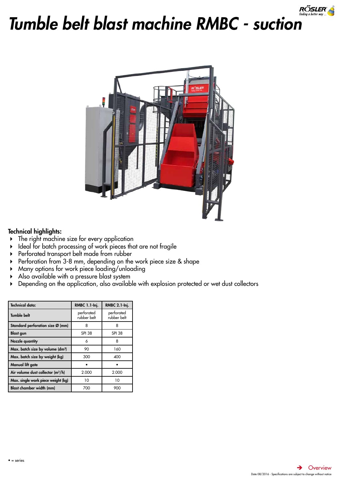

<span id="page-5-0"></span>



- The right machine size for every application
- Ideal for batch processing of work pieces that are not fragile
- Perforated transport belt made from rubber
- Perforation from 3-8 mm, depending on the work piece size & shape
- Many options for work piece loading/unloading
- Also available with a pressure blast system
- Depending on the application, also available with explosion protected or wet dust collectors

| <b>Technical data:</b>                       | RMBC 1.1-Inj.             | <b>RMBC 2.1-Inj.</b>      |
|----------------------------------------------|---------------------------|---------------------------|
| <b>Tumble belt</b>                           | perforated<br>rubber belt | perforated<br>rubber belt |
| Standard perforation size Ø (mm)             | 8                         | 8                         |
| <b>Blast gun</b>                             | <b>SPI 38</b>             | <b>SPI 38</b>             |
| <b>Nozzle quantity</b>                       | 6                         | 8                         |
| Max. batch size by volume (dm <sup>3</sup> ) | 90                        | 160                       |
| Max. batch size by weight (kg)               | 300                       | 400                       |
| Manual lift gate                             |                           |                           |
| Air volume dust collector $(m^3/h)$          | 2.000                     | 2.000                     |
| Max. single work piece weight (kg)           | 10                        | 10                        |
| Blast chamber width (mm)                     | 700                       | 900                       |

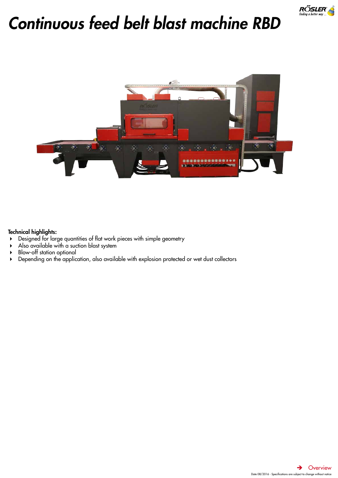

# <span id="page-6-0"></span>*Continuous feed belt blast machine RBD*



- Designed for large quantities of flat work pieces with simple geometry
- Also available with a suction blast system
- Blow-off station optional
- Depending on the application, also available with explosion protected or wet dust collectors

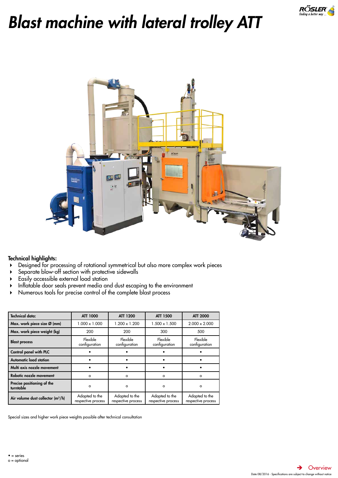

# <span id="page-7-0"></span>*Blast machine with lateral trolley ATT*



# Technical highlights:

- Designed for processing of rotational symmetrical but also more complex work pieces
- Separate blow-off section with protective sidewalls
- Easily accessible external load station
- Inflatable door seals prevent media and dust escaping to the environment
- Numerous tools for precise control of the complete blast process

| <b>Technical data:</b>                  | <b>ATT 1000</b>                      | ATT 1200                             | ATT 1500                             | <b>ATT 2000</b>                      |
|-----------------------------------------|--------------------------------------|--------------------------------------|--------------------------------------|--------------------------------------|
| Max. work piece size Ø (mm)             | $1.000 \times 1.000$                 | $1.200 \times 1.200$                 | $1.500 \times 1.500$                 | $2.000 \times 2.000$                 |
| Max. work piece weight (kg)             | 200                                  | 200                                  | 300                                  | 500                                  |
| <b>Blast process</b>                    | Flexible<br>configuration            | Flexible<br>configuration            | Flexible<br>configuration            | Flexible<br>configuration            |
| Control panel with PLC                  |                                      |                                      |                                      |                                      |
| <b>Automatic load station</b>           |                                      |                                      |                                      |                                      |
| Multi axis nozzle movement              |                                      |                                      |                                      |                                      |
| Robotic nozzle movement                 | $\circ$                              | $\Omega$                             | $\circ$                              | $\circ$                              |
| Precise positioning of the<br>turntable | $\circ$                              | $\circ$                              | $\circ$                              | $\circ$                              |
| Air volume dust collector $(m^3/h)$     | Adapted to the<br>respective process | Adapted to the<br>respective process | Adapted to the<br>respective process | Adapted to the<br>respective process |

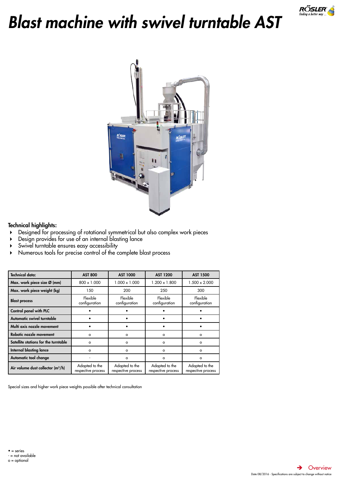

# <span id="page-8-0"></span>*Blast machine with swivel turntable AST*



## Technical highlights:

- Designed for processing of rotational symmetrical but also complex work pieces
- Design provides for use of an internal blasting lance
- Swivel turntable ensures easy accessibility
- Numerous tools for precise control of the complete blast process

| <b>Technical data:</b>               | <b>AST 800</b>                       | <b>AST 1000</b>                      | <b>AST 1200</b>                      | <b>AST 1500</b>                      |
|--------------------------------------|--------------------------------------|--------------------------------------|--------------------------------------|--------------------------------------|
| Max. work piece size Ø (mm)          | 800 x 1.000                          | $1.000 \times 1.000$                 | $1.200 \times 1.800$                 | $1.500 \times 2.000$                 |
| Max. work piece weight (kg)          | 150                                  | 200                                  | 250                                  | 300                                  |
| <b>Blast process</b>                 | Flexible<br>configuration            | Flexible<br>configuration            | Flexible<br>configuration            | Flexible<br>configuration            |
| Control panel with PLC               |                                      |                                      |                                      |                                      |
| Automatic swivel turntable           |                                      |                                      |                                      |                                      |
| Multi axis nozzle movement           |                                      |                                      |                                      |                                      |
| Robotic nozzle movement              | $\circ$                              | $\circ$                              | $\circ$                              | $\circ$                              |
| Satellite stations for the turntable | $\circ$                              | o                                    | $\circ$                              | $\circ$                              |
| <b>Internal blasting lance</b>       | $\Omega$                             | $\circ$                              | $\Omega$                             | $\circ$                              |
| Automatic tool change                |                                      | o                                    | $\circ$                              | $\circ$                              |
| Air volume dust collector $(m^3/h)$  | Adapted to the<br>respective process | Adapted to the<br>respective process | Adapted to the<br>respective process | Adapted to the<br>respective process |

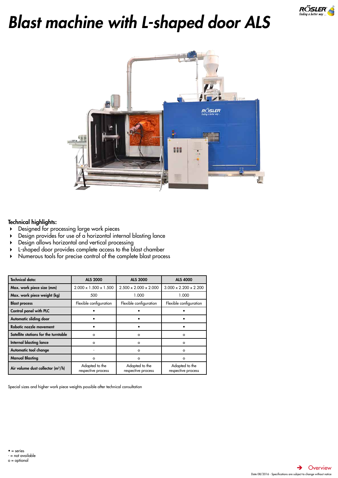

# <span id="page-9-0"></span>*Blast machine with L-shaped door ALS*



## Technical highlights:

- Designed for processing large work pieces
- Design provides for use of a horizontal internal blasting lance
- Design allows horizontal and vertical processing
- L-shaped door provides complete access to the blast chamber
- Numerous tools for precise control of the complete blast process

| <b>Technical data:</b>                        | <b>ALS 2000</b>                      | <b>ALS 3000</b>                      | <b>ALS 4000</b>                      |
|-----------------------------------------------|--------------------------------------|--------------------------------------|--------------------------------------|
| Max. work piece size (mm)                     | $2.000 \times 1.500 \times 1.500$    | $2.500 \times 2.000 \times 2.000$    | $3.000 \times 2.200 \times 2.200$    |
| Max. work piece weight (kg)                   | 500                                  | 1.000                                | 1.000                                |
| <b>Blast process</b>                          | Flexible configuration               | Flexible configuration               | Flexible configuration               |
| Control panel with PLC                        |                                      |                                      |                                      |
| Automatic sliding door                        |                                      |                                      |                                      |
| Robotic nozzle movement                       |                                      |                                      |                                      |
| Satellite stations for the turntable          | $\circ$                              | $\circ$                              | $\circ$                              |
| <b>Internal blasting lance</b>                | $\circ$                              | $\circ$                              | $\circ$                              |
| Automatic tool change                         |                                      | $\circ$                              | $\circ$                              |
| <b>Manual Blasting</b>                        | $\circ$                              | $\circ$                              | $\circ$                              |
| Air volume dust collector (m <sup>3</sup> /h) | Adapted to the<br>respective process | Adapted to the<br>respective process | Adapted to the<br>respective process |

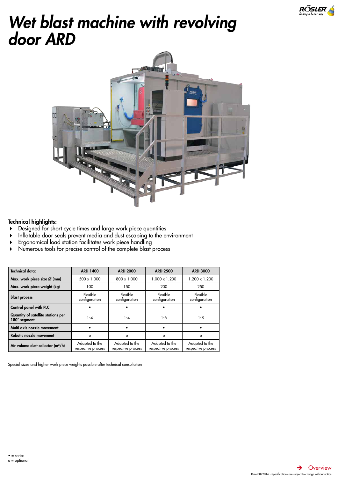

# <span id="page-10-0"></span>*Wet blast machine with revolving door ARD*



## Technical highlights:

- Designed for short cycle times and large work piece quantities
- Inflatable door seals prevent media and dust escaping to the environment
- Ergonomical load station facilitates work piece handling
- Numerous tools for precise control of the complete blast process

| <b>Technical data:</b>                             | <b>ARD 1400</b>                      | <b>ARD 2000</b>                      | <b>ARD 2500</b>                      | <b>ARD 3000</b>                      |
|----------------------------------------------------|--------------------------------------|--------------------------------------|--------------------------------------|--------------------------------------|
| Max. work piece size Ø (mm)                        | $500 \times 1.000$                   | $800 \times 1.000$                   | $1.000 \times 1.200$                 | $1.200 \times 1.200$                 |
| Max. work piece weight (kg)                        | 100                                  | 150                                  | 200                                  | 250                                  |
| <b>Blast process</b>                               | Flexible<br>configuration            | Flexible<br>configuration            | Flexible<br>configuration            | Flexible<br>configuration            |
| Control panel with PLC                             |                                      |                                      |                                      |                                      |
| Quantity of satellite stations per<br>180° segment | $1 - 4$                              | 1-4                                  | 1-6                                  | $1 - 8$                              |
| Multi axis nozzle movement                         |                                      |                                      |                                      |                                      |
| Robotic nozzle movement                            | $\circ$                              | $\circ$                              | $\circ$                              | $\circ$                              |
| Air volume dust collector $(m^3/h)$                | Adapted to the<br>respective process | Adapted to the<br>respective process | Adapted to the<br>respective process | Adapted to the<br>respective process |